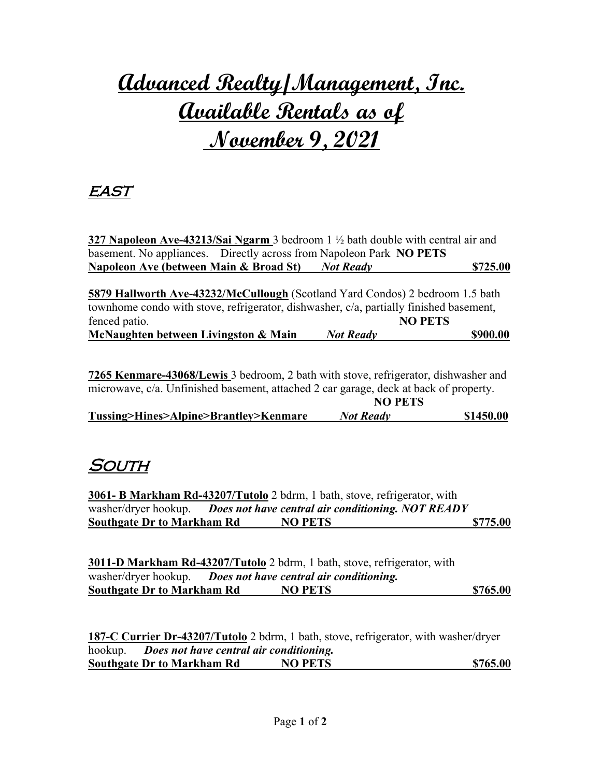# **Advanced Realty/Management, Inc. Available Rentals as of November 9, 2021**

#### east

**327 Napoleon Ave-43213/Sai Ngarm** 3 bedroom 1 ½ bath double with central air and basement. No appliances. Directly across from Napoleon Park **NO PETS Napoleon Ave (between Main & Broad St)\_** *\_ Not Ready* **\_\$725.00** 

**5879 Hallworth Ave-43232/McCullough** (Scotland Yard Condos) 2 bedroom 1.5 bath townhome condo with stove, refrigerator, dishwasher, c/a, partially finished basement, fenced patio. **NO PETS McNaughten between Livingston & Main** *Not Ready* **\$900.00**

**7265 Kenmare-43068/Lewis** 3 bedroom, 2 bath with stove, refrigerator, dishwasher and microwave, c/a. Unfinished basement, attached 2 car garage, deck at back of property.

|                                       | <b>NO PETS</b>   |           |
|---------------------------------------|------------------|-----------|
| Tussing>Hines>Alpine>Brantley>Kenmare | <b>Not Ready</b> | \$1450.00 |

#### **SOUTH**

**3061- B Markham Rd-43207/Tutolo** 2 bdrm, 1 bath, stove, refrigerator, with washer/dryer hookup. *Does not have central air conditioning. NOT READY* **Southgate Dr to Markham Rd NO PETS \$775.00** 

**3011-D Markham Rd-43207/Tutolo** 2 bdrm, 1 bath, stove, refrigerator, with washer/dryer hookup. *Does not have central air conditioning.* **Southgate Dr to Markham Rd NO PETS \$765.00** 

**187-C Currier Dr-43207/Tutolo** 2 bdrm, 1 bath, stove, refrigerator, with washer/dryer hookup. *Does not have central air conditioning.* **Southgate Dr to Markham Rd NO PETS \$765.00**